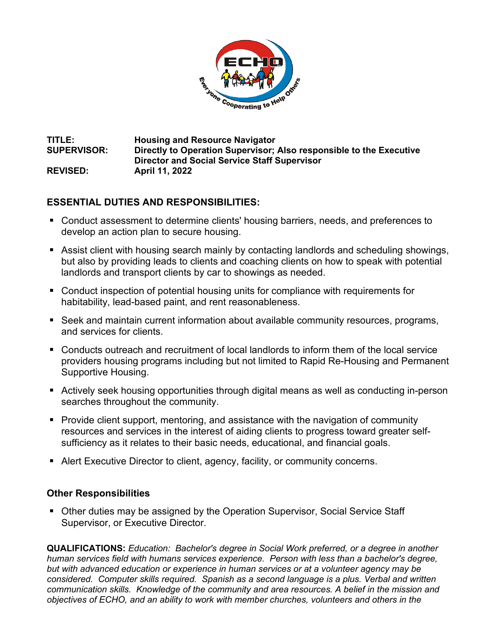

## **TITLE: Housing and Resource Navigator SUPERVISOR: Directly to Operation Supervisor; Also responsible to the Executive Director and Social Service Staff Supervisor REVISED: April 11, 2022**

## **ESSENTIAL DUTIES AND RESPONSIBILITIES:**

- Conduct assessment to determine clients' housing barriers, needs, and preferences to develop an action plan to secure housing.
- Assist client with housing search mainly by contacting landlords and scheduling showings, but also by providing leads to clients and coaching clients on how to speak with potential landlords and transport clients by car to showings as needed.
- Conduct inspection of potential housing units for compliance with requirements for habitability, lead-based paint, and rent reasonableness.
- Seek and maintain current information about available community resources, programs, and services for clients.
- Conducts outreach and recruitment of local landlords to inform them of the local service providers housing programs including but not limited to Rapid Re-Housing and Permanent Supportive Housing.
- Actively seek housing opportunities through digital means as well as conducting in-person searches throughout the community.
- Provide client support, mentoring, and assistance with the navigation of community resources and services in the interest of aiding clients to progress toward greater selfsufficiency as it relates to their basic needs, educational, and financial goals.
- Alert Executive Director to client, agency, facility, or community concerns.

## **Other Responsibilities**

■ Other duties may be assigned by the Operation Supervisor, Social Service Staff Supervisor, or Executive Director.

**QUALIFICATIONS:** *Education: Bachelor's degree in Social Work preferred, or a degree in another human services field with humans services experience. Person with less than a bachelor's degree, but with advanced education or experience in human services or at a volunteer agency may be considered. Computer skills required. Spanish as a second language is a plus. Verbal and written communication skills. Knowledge of the community and area resources. A belief in the mission and objectives of ECHO, and an ability to work with member churches, volunteers and others in the*